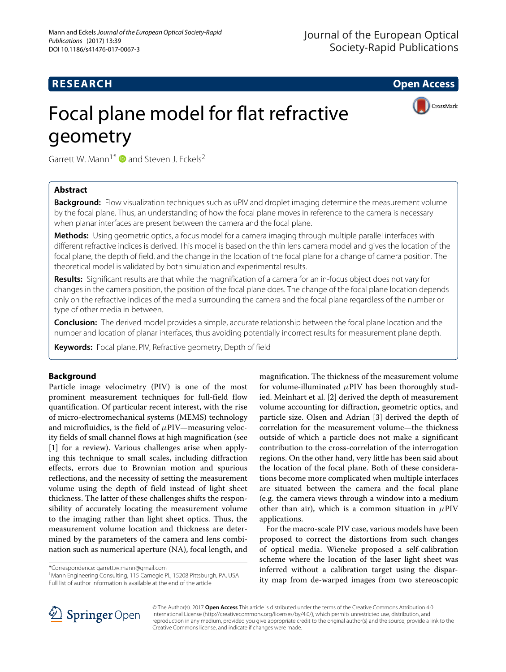## **RESEARCH Open Access**

CrossMark

# Focal plane model for flat refractive geometry

Garrett W. Mann<sup>1\*</sup>  $\bullet$  and Steven J. Eckels<sup>2</sup>

## **Abstract**

**Background:** Flow visualization techniques such as uPIV and droplet imaging determine the measurement volume by the focal plane. Thus, an understanding of how the focal plane moves in reference to the camera is necessary when planar interfaces are present between the camera and the focal plane.

**Methods:** Using geometric optics, a focus model for a camera imaging through multiple parallel interfaces with different refractive indices is derived. This model is based on the thin lens camera model and gives the location of the focal plane, the depth of field, and the change in the location of the focal plane for a change of camera position. The theoretical model is validated by both simulation and experimental results.

**Results:** Significant results are that while the magnification of a camera for an in-focus object does not vary for changes in the camera position, the position of the focal plane does. The change of the focal plane location depends only on the refractive indices of the media surrounding the camera and the focal plane regardless of the number or type of other media in between.

**Conclusion:** The derived model provides a simple, accurate relationship between the focal plane location and the number and location of planar interfaces, thus avoiding potentially incorrect results for measurement plane depth.

**Keywords:** Focal plane, PIV, Refractive geometry, Depth of field

## **Background**

Particle image velocimetry (PIV) is one of the most prominent measurement techniques for full-field flow quantification. Of particular recent interest, with the rise of micro-electromechanical systems (MEMS) technology and microfluidics, is the field of *μ*PIV—measuring velocity fields of small channel flows at high magnification (see [\[1\]](#page-6-0) for a review). Various challenges arise when applying this technique to small scales, including diffraction effects, errors due to Brownian motion and spurious reflections, and the necessity of setting the measurement volume using the depth of field instead of light sheet thickness. The latter of these challenges shifts the responsibility of accurately locating the measurement volume to the imaging rather than light sheet optics. Thus, the measurement volume location and thickness are determined by the parameters of the camera and lens combination such as numerical aperture (NA), focal length, and

<sup>1</sup>Mann Engineering Consulting, 115 Carnegie Pl., 15208 Pittsburgh, PA, USA Full list of author information is available at the end of the article

magnification. The thickness of the measurement volume for volume-illuminated *μ*PIV has been thoroughly studied. Meinhart et al. [\[2\]](#page-6-1) derived the depth of measurement volume accounting for diffraction, geometric optics, and particle size. Olsen and Adrian [\[3\]](#page-6-2) derived the depth of correlation for the measurement volume—the thickness outside of which a particle does not make a significant contribution to the cross-correlation of the interrogation regions. On the other hand, very little has been said about the location of the focal plane. Both of these considerations become more complicated when multiple interfaces are situated between the camera and the focal plane (e.g. the camera views through a window into a medium other than air), which is a common situation in *μ*PIV applications.

For the macro-scale PIV case, various models have been proposed to correct the distortions from such changes of optical media. Wieneke proposed a self-calibration scheme where the location of the laser light sheet was inferred without a calibration target using the disparity map from de-warped images from two stereoscopic



© The Author(s). 2017 **Open Access** This article is distributed under the terms of the Creative Commons Attribution 4.0 International License [\(http://creativecommons.org/licenses/by/4.0/\)](http://creativecommons.org/licenses/by/4.0/), which permits unrestricted use, distribution, and reproduction in any medium, provided you give appropriate credit to the original author(s) and the source, provide a link to the Creative Commons license, and indicate if changes were made.

<sup>\*</sup>Correspondence: [garrett.w.mann@gmail.com](mailto: garrett.w.mann@gmail.com)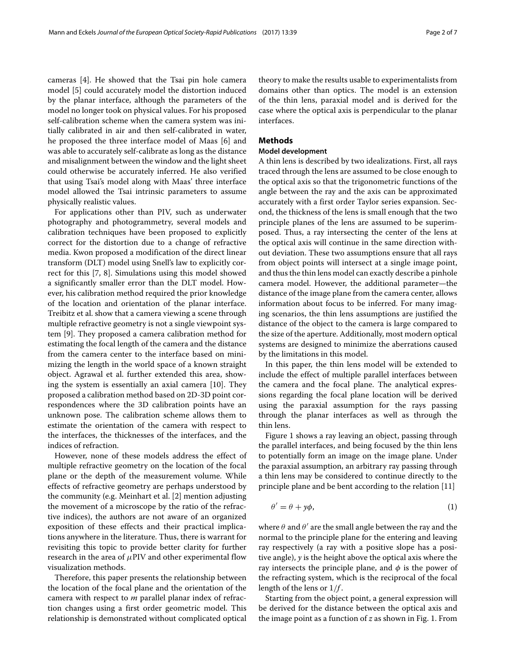cameras [\[4\]](#page-6-3). He showed that the Tsai pin hole camera model [\[5\]](#page-6-4) could accurately model the distortion induced by the planar interface, although the parameters of the model no longer took on physical values. For his proposed self-calibration scheme when the camera system was initially calibrated in air and then self-calibrated in water, he proposed the three interface model of Maas [\[6\]](#page-6-5) and was able to accurately self-calibrate as long as the distance and misalignment between the window and the light sheet could otherwise be accurately inferred. He also verified that using Tsai's model along with Maas' three interface model allowed the Tsai intrinsic parameters to assume physically realistic values.

For applications other than PIV, such as underwater photography and photogrammetry, several models and calibration techniques have been proposed to explicitly correct for the distortion due to a change of refractive media. Kwon proposed a modification of the direct linear transform (DLT) model using Snell's law to explicitly correct for this [\[7,](#page-6-6) [8\]](#page-6-7). Simulations using this model showed a significantly smaller error than the DLT model. However, his calibration method required the prior knowledge of the location and orientation of the planar interface. Treibitz et al. show that a camera viewing a scene through multiple refractive geometry is not a single viewpoint system [\[9\]](#page-6-8). They proposed a camera calibration method for estimating the focal length of the camera and the distance from the camera center to the interface based on minimizing the length in the world space of a known straight object. Agrawal et al. further extended this area, showing the system is essentially an axial camera [\[10\]](#page-6-9). They proposed a calibration method based on 2D-3D point correspondences where the 3D calibration points have an unknown pose. The calibration scheme allows them to estimate the orientation of the camera with respect to the interfaces, the thicknesses of the interfaces, and the indices of refraction.

However, none of these models address the effect of multiple refractive geometry on the location of the focal plane or the depth of the measurement volume. While effects of refractive geometry are perhaps understood by the community (e.g. Meinhart et al. [\[2\]](#page-6-1) mention adjusting the movement of a microscope by the ratio of the refractive indices), the authors are not aware of an organized exposition of these effects and their practical implications anywhere in the literature. Thus, there is warrant for revisiting this topic to provide better clarity for further research in the area of *μ*PIV and other experimental flow visualization methods.

Therefore, this paper presents the relationship between the location of the focal plane and the orientation of the camera with respect to *m* parallel planar index of refraction changes using a first order geometric model. This relationship is demonstrated without complicated optical theory to make the results usable to experimentalists from domains other than optics. The model is an extension of the thin lens, paraxial model and is derived for the case where the optical axis is perpendicular to the planar interfaces.

#### **Methods**

#### **Model development**

A thin lens is described by two idealizations. First, all rays traced through the lens are assumed to be close enough to the optical axis so that the trigonometric functions of the angle between the ray and the axis can be approximated accurately with a first order Taylor series expansion. Second, the thickness of the lens is small enough that the two principle planes of the lens are assumed to be superimposed. Thus, a ray intersecting the center of the lens at the optical axis will continue in the same direction without deviation. These two assumptions ensure that all rays from object points will intersect at a single image point, and thus the thin lens model can exactly describe a pinhole camera model. However, the additional parameter—the distance of the image plane from the camera center, allows information about focus to be inferred. For many imaging scenarios, the thin lens assumptions are justified the distance of the object to the camera is large compared to the size of the aperture. Additionally, most modern optical systems are designed to minimize the aberrations caused by the limitations in this model.

In this paper, the thin lens model will be extended to include the effect of multiple parallel interfaces between the camera and the focal plane. The analytical expressions regarding the focal plane location will be derived using the paraxial assumption for the rays passing through the planar interfaces as well as through the thin lens.

Figure [1](#page-2-0) shows a ray leaving an object, passing through the parallel interfaces, and being focused by the thin lens to potentially form an image on the image plane. Under the paraxial assumption, an arbitrary ray passing through a thin lens may be considered to continue directly to the principle plane and be bent according to the relation [\[11\]](#page-6-10)

<span id="page-1-0"></span>
$$
\theta' = \theta + y\phi,\tag{1}
$$

where  $\theta$  and  $\theta'$  are the small angle between the ray and the normal to the principle plane for the entering and leaving ray respectively (a ray with a positive slope has a positive angle), *y* is the height above the optical axis where the ray intersects the principle plane, and  $\phi$  is the power of the refracting system, which is the reciprocal of the focal length of the lens or 1*/f* .

Starting from the object point, a general expression will be derived for the distance between the optical axis and the image point as a function of *z* as shown in Fig. [1.](#page-2-0) From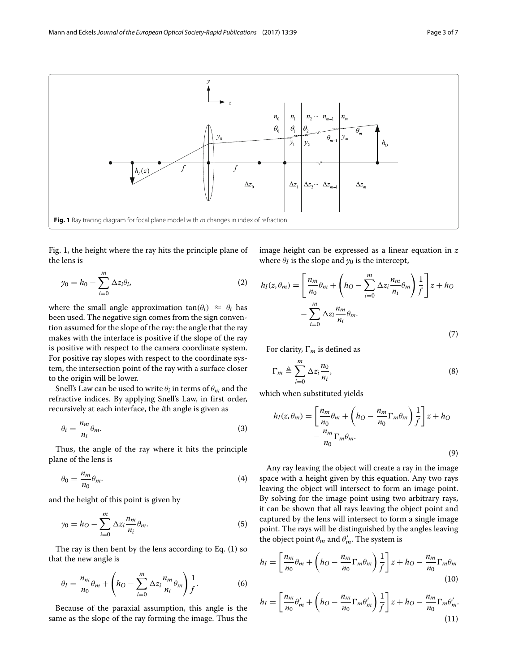

<span id="page-2-0"></span>Fig. [1,](#page-2-0) the height where the ray hits the principle plane of the lens is

$$
y_0 = h_0 - \sum_{i=0}^m \Delta z_i \theta_i,
$$
 (2)

where the small angle approximation tan( $\theta_i$ )  $\approx \theta_i$  has been used. The negative sign comes from the sign convention assumed for the slope of the ray: the angle that the ray makes with the interface is positive if the slope of the ray is positive with respect to the camera coordinate system. For positive ray slopes with respect to the coordinate system, the intersection point of the ray with a surface closer to the origin will be lower.

Snell's Law can be used to write  $\theta_i$  in terms of  $\theta_m$  and the refractive indices. By applying Snell's Law, in first order, recursively at each interface, the *i*th angle is given as

$$
\theta_i = \frac{n_m}{n_i} \theta_m. \tag{3}
$$

Thus, the angle of the ray where it hits the principle plane of the lens is

$$
\theta_0 = \frac{n_m}{n_0} \theta_m. \tag{4}
$$

and the height of this point is given by

$$
y_0 = h_O - \sum_{i=0}^{m} \Delta z_i \frac{n_m}{n_i} \theta_m.
$$
 (5)

The ray is then bent by the lens according to Eq. [\(1\)](#page-1-0) so that the new angle is

$$
\theta_I = \frac{n_m}{n_0} \theta_m + \left( h_O - \sum_{i=0}^m \Delta z_i \frac{n_m}{n_i} \theta_m \right) \frac{1}{f}.
$$
 (6)

Because of the paraxial assumption, this angle is the same as the slope of the ray forming the image. Thus the image height can be expressed as a linear equation in *z* where  $\theta$ *I* is the slope and  $y_0$  is the intercept,

$$
h_I(z, \theta_m) = \left[ \frac{n_m}{n_0} \theta_m + \left( h_O - \sum_{i=0}^m \Delta z_i \frac{n_m}{n_i} \theta_m \right) \frac{1}{f} \right] z + h_O
$$

$$
- \sum_{i=0}^m \Delta z_i \frac{n_m}{n_i} \theta_m.
$$
(7)

For clarity,  $\Gamma_m$  is defined as

$$
\Gamma_m \triangleq \sum_{i=0}^m \Delta z_i \frac{n_0}{n_i},\tag{8}
$$

which when substituted yields

$$
h_I(z, \theta_m) = \left[ \frac{n_m}{n_0} \theta_m + \left( h_O - \frac{n_m}{n_0} \Gamma_m \theta_m \right) \frac{1}{f} \right] z + h_O
$$

$$
- \frac{n_m}{n_0} \Gamma_m \theta_m.
$$
(9)

Any ray leaving the object will create a ray in the image space with a height given by this equation. Any two rays leaving the object will intersect to form an image point. By solving for the image point using two arbitrary rays, it can be shown that all rays leaving the object point and captured by the lens will intersect to form a single image point. The rays will be distinguished by the angles leaving the object point  $\theta_m$  and  $\theta'_m$ . The system is

$$
h_I = \left[\frac{n_m}{n_0}\theta_m + \left(h_O - \frac{n_m}{n_0}\Gamma_m\theta_m\right)\frac{1}{f}\right]z + h_O - \frac{n_m}{n_0}\Gamma_m\theta_m\tag{10}
$$

$$
h_I = \left[\frac{n_m}{n_0}\theta_m' + \left(h_O - \frac{n_m}{n_0}\Gamma_m\theta_m'\right)\frac{1}{f}\right]z + h_O - \frac{n_m}{n_0}\Gamma_m\theta_m'.
$$
\n(11)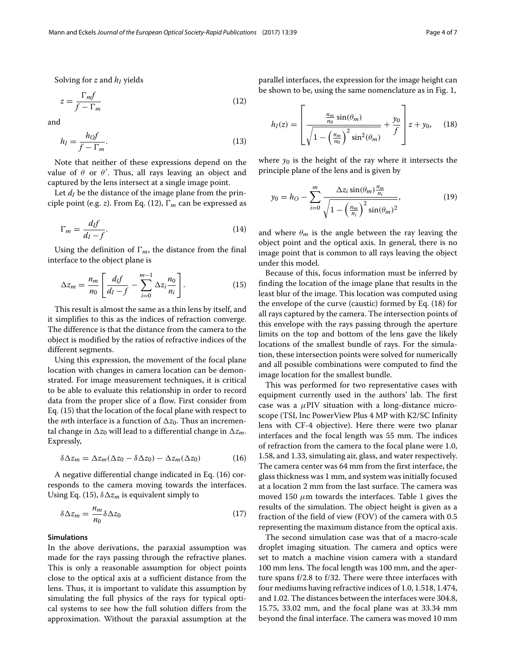Solving for *z* and *hI* yields

<span id="page-3-0"></span>
$$
z = \frac{\Gamma_m f}{f - \Gamma_m} \tag{12}
$$

and

<span id="page-3-6"></span>
$$
h_I = \frac{h_O f}{f - \Gamma_m}.\tag{13}
$$

Note that neither of these expressions depend on the value of *θ* or *θ'*. Thus, all rays leaving an object and captured by the lens intersect at a single image point.

Let  $d_I$  be the distance of the image plane from the principle point (e.g. *z*). From Eq. [\(12\)](#page-3-0),  $\Gamma_m$  can be expressed as

<span id="page-3-4"></span>
$$
\Gamma_m = \frac{df}{d_I - f}.\tag{14}
$$

Using the definition of  $\Gamma_m$ , the distance from the final interface to the object plane is

<span id="page-3-1"></span>
$$
\Delta z_m = \frac{n_m}{n_0} \left[ \frac{d_I f}{d_I - f} - \sum_{i=0}^{m-1} \Delta z_i \frac{n_0}{n_i} \right]. \tag{15}
$$

This result is almost the same as a thin lens by itself, and it simplifies to this as the indices of refraction converge. The difference is that the distance from the camera to the object is modified by the ratios of refractive indices of the different segments.

Using this expression, the movement of the focal plane location with changes in camera location can be demonstrated. For image measurement techniques, it is critical to be able to evaluate this relationship in order to record data from the proper slice of a flow. First consider from Eq. [\(15\)](#page-3-1) that the location of the focal plane with respect to the *m*th interface is a function of  $\Delta z_0$ . Thus an incremental change in  $\Delta z_0$  will lead to a differential change in  $\Delta z_m$ . Expressly,

<span id="page-3-2"></span>
$$
\delta \Delta z_m = \Delta z_m (\Delta z_0 - \delta \Delta z_0) - \Delta z_m (\Delta z_0)
$$
 (16)

A negative differential change indicated in Eq. [\(16\)](#page-3-2) corresponds to the camera moving towards the interfaces. Using Eq. [\(15\)](#page-3-1),  $\delta \Delta z_m$  is equivalent simply to

$$
\delta \Delta z_m = \frac{n_m}{n_0} \delta \Delta z_0 \tag{17}
$$

#### **Simulations**

In the above derivations, the paraxial assumption was made for the rays passing through the refractive planes. This is only a reasonable assumption for object points close to the optical axis at a sufficient distance from the lens. Thus, it is important to validate this assumption by simulating the full physics of the rays for typical optical systems to see how the full solution differs from the approximation. Without the paraxial assumption at the

parallel interfaces, the expression for the image height can be shown to be, using the same nomenclature as in Fig. [1,](#page-2-0)

<span id="page-3-3"></span>
$$
h_I(z) = \left[ \frac{\frac{n_m}{n_0} \sin(\theta_m)}{\sqrt{1 - \left(\frac{n_m}{n_0}\right)^2 \sin^2(\theta_m)}} + \frac{y_0}{f} \right] z + y_0, \quad (18)
$$

where  $y_0$  is the height of the ray where it intersects the principle plane of the lens and is given by

$$
y_0 = h_O - \sum_{i=0}^{m} \frac{\Delta z_i \sin(\theta_m) \frac{n_m}{n_i}}{\sqrt{1 - \left(\frac{n_m}{n_i}\right)^2 \sin(\theta_m)^2}},
$$
(19)

and where  $\theta_m$  is the angle between the ray leaving the object point and the optical axis. In general, there is no image point that is common to all rays leaving the object under this model.

Because of this, focus information must be inferred by finding the location of the image plane that results in the least blur of the image. This location was computed using the envelope of the curve (caustic) formed by Eq. [\(18\)](#page-3-3) for all rays captured by the camera. The intersection points of this envelope with the rays passing through the aperture limits on the top and bottom of the lens gave the likely locations of the smallest bundle of rays. For the simulation, these intersection points were solved for numerically and all possible combinations were computed to find the image location for the smallest bundle.

This was performed for two representative cases with equipment currently used in the authors' lab. The first case was a *μ*PIV situation with a long-distance microscope (TSI, Inc PowerView Plus 4 MP with K2/SC Infinity lens with CF-4 objective). Here there were two planar interfaces and the focal length was 55 mm. The indices of refraction from the camera to the focal plane were 1.0, 1.58, and 1.33, simulating air, glass, and water respectively. The camera center was 64 mm from the first interface, the glass thickness was 1 mm, and system was initially focused at a location 2 mm from the last surface. The camera was moved 150 *μ*m towards the interfaces. Table [1](#page-4-0) gives the results of the simulation. The object height is given as a fraction of the field of view (FOV) of the camera with 0.5 representing the maximum distance from the optical axis.

<span id="page-3-5"></span>The second simulation case was that of a macro-scale droplet imaging situation. The camera and optics were set to match a machine vision camera with a standard 100 mm lens. The focal length was 100 mm, and the aperture spans f/2.8 to f/32. There were three interfaces with four mediums having refractive indices of 1.0, 1.518, 1.474, and 1.02. The distances between the interfaces were 304.8, 15.75, 33.02 mm, and the focal plane was at 33.34 mm beyond the final interface. The camera was moved 10 mm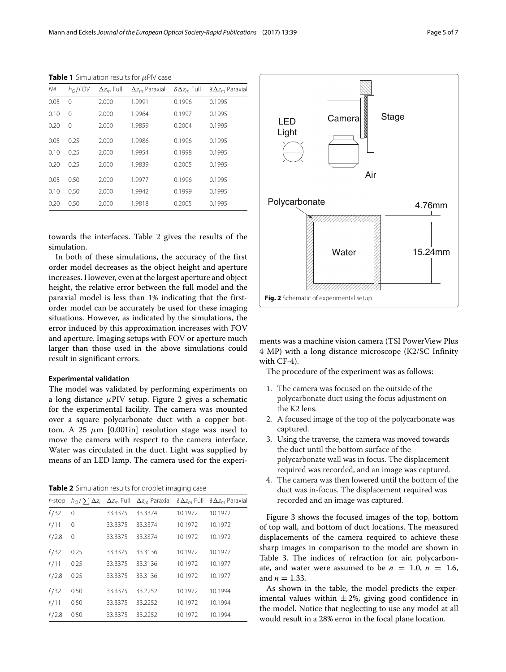| NA   | $h_0$ /FOV | $\Delta z_m$ Full | $\Delta z_m$ Paraxial | $\delta \Delta z_m$ Full | $\delta \Delta z_m$ Paraxial |  |  |
|------|------------|-------------------|-----------------------|--------------------------|------------------------------|--|--|
| 0.05 | 0          | 2.000             | 1.9991                | 0.1996                   | 0.1995                       |  |  |
| 0.10 | $\Omega$   | 2.000             | 1.9964                | 0.1997                   | 0.1995                       |  |  |
| 0.20 | 0          | 2.000             | 1.9859                | 0.2004                   | 0.1995                       |  |  |
| 0.05 | 0.25       | 2.000             | 1.9986                | 0.1996                   | 0.1995                       |  |  |
| 0.10 | 0.25       | 2.000             | 1.9954                | 0.1998                   | 0.1995                       |  |  |
| 0.20 | 0.25       | 2.000             | 1.9839                | 0.2005                   | 0.1995                       |  |  |
| 0.05 | 0.50       | 2.000             | 1.9977                | 0.1996                   | 0.1995                       |  |  |
| 0.10 | 0.50       | 2.000             | 1.9942                | 0.1999                   | 0.1995                       |  |  |
| 0.20 | 0.50       | 2.000             | 1.9818                | 0.2005                   | 0.1995                       |  |  |
|      |            |                   |                       |                          |                              |  |  |

<span id="page-4-0"></span>**Table 1** Simulation results for *μ*PIV case

towards the interfaces. Table [2](#page-4-1) gives the results of the simulation.

In both of these simulations, the accuracy of the first order model decreases as the object height and aperture increases. However, even at the largest aperture and object height, the relative error between the full model and the paraxial model is less than 1% indicating that the firstorder model can be accurately be used for these imaging situations. However, as indicated by the simulations, the error induced by this approximation increases with FOV and aperture. Imaging setups with FOV or aperture much larger than those used in the above simulations could result in significant errors.

### **Experimental validation**

The model was validated by performing experiments on a long distance *μ*PIV setup. Figure [2](#page-4-2) gives a schematic for the experimental facility. The camera was mounted over a square polycarbonate duct with a copper bottom. A 25  $\mu$ m [0.001in] resolution stage was used to move the camera with respect to the camera interface. Water was circulated in the duct. Light was supplied by means of an LED lamp. The camera used for the experi-

**Table 2** Simulation results for droplet imaging case

<span id="page-4-1"></span>

| f-stop |      |         | $h_0/\sum \Delta z_i$ $\Delta z_m$ Full $\Delta z_m$ Paraxial $\delta \Delta z_m$ Full |         | $\delta \Delta z_m$ Paraxial |
|--------|------|---------|----------------------------------------------------------------------------------------|---------|------------------------------|
| f/32   | 0    | 33.3375 | 33.3374                                                                                | 10.1972 | 10.1972                      |
| f/11   | 0    | 33.3375 | 33.3374                                                                                | 10.1972 | 10.1972                      |
| f/2.8  | 0    | 33.3375 | 33.3374                                                                                | 10.1972 | 10.1972                      |
| f/32   | 0.25 | 33.3375 | 33.3136                                                                                | 10.1972 | 10.1977                      |
| f/11   | 0.25 | 33.3375 | 33.3136                                                                                | 10.1972 | 10.1977                      |
| f/2.8  | 0.25 | 33.3375 | 33.3136                                                                                | 10.1972 | 10.1977                      |
| f/32   | 0.50 | 33.3375 | 33.2252                                                                                | 10.1972 | 10.1994                      |
| f/11   | 0.50 | 33.3375 | 33.2252                                                                                | 10.1972 | 10.1994                      |
| f/2.8  | 0.50 | 33.3375 | 33.2252                                                                                | 10.1972 | 10.1994                      |



<span id="page-4-2"></span>ments was a machine vision camera (TSI PowerView Plus 4 MP) with a long distance microscope (K2/SC Infinity with CF-4).

The procedure of the experiment was as follows:

- 1. The camera was focused on the outside of the polycarbonate duct using the focus adjustment on the K2 lens.
- 2. A focused image of the top of the polycarbonate was captured.
- 3. Using the traverse, the camera was moved towards the duct until the bottom surface of the polycarbonate wall was in focus. The displacement required was recorded, and an image was captured.
- 4. The camera was then lowered until the bottom of the duct was in-focus. The displacement required was recorded and an image was captured.

Figure [3](#page-5-0) shows the focused images of the top, bottom of top wall, and bottom of duct locations. The measured displacements of the camera required to achieve these sharp images in comparison to the model are shown in Table [3.](#page-5-1) The indices of refraction for air, polycarbonate, and water were assumed to be  $n = 1.0$ ,  $n = 1.6$ , and  $n = 1.33$ .

As shown in the table, the model predicts the experimental values within  $\pm 2\%$ , giving good confidence in the model. Notice that neglecting to use any model at all would result in a 28% error in the focal plane location.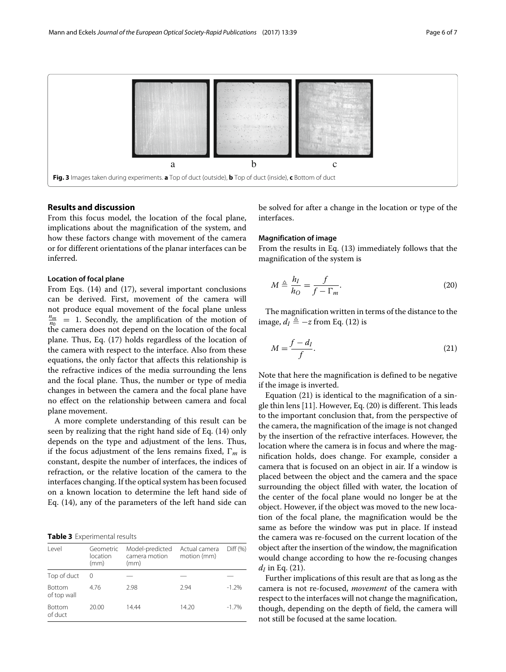

## <span id="page-5-0"></span>**Results and discussion**

From this focus model, the location of the focal plane, implications about the magnification of the system, and how these factors change with movement of the camera or for different orientations of the planar interfaces can be inferred.

#### **Location of focal plane**

From Eqs. [\(14\)](#page-3-4) and [\(17\)](#page-3-5), several important conclusions can be derived. First, movement of the camera will not produce equal movement of the focal plane unless  $\frac{n_m}{n_0}$  = 1. Secondly, the amplification of the motion of the camera does not depend on the location of the focal plane. Thus, Eq. [\(17\)](#page-3-5) holds regardless of the location of the camera with respect to the interface. Also from these equations, the only factor that affects this relationship is the refractive indices of the media surrounding the lens and the focal plane. Thus, the number or type of media changes in between the camera and the focal plane have no effect on the relationship between camera and focal plane movement.

A more complete understanding of this result can be seen by realizing that the right hand side of Eq. [\(14\)](#page-3-4) only depends on the type and adjustment of the lens. Thus, if the focus adjustment of the lens remains fixed,  $\Gamma_m$  is constant, despite the number of interfaces, the indices of refraction, or the relative location of the camera to the interfaces changing. If the optical system has been focused on a known location to determine the left hand side of Eq. [\(14\)](#page-3-4), any of the parameters of the left hand side can

**Table 3** Experimental results

<span id="page-5-1"></span>

| Level                        | Geometric<br>location<br>(mm) | Model-predicted<br>camera motion<br>(mm) | Actual camera<br>motion (mm) | Diff (%) |
|------------------------------|-------------------------------|------------------------------------------|------------------------------|----------|
| Top of duct                  | 0                             |                                          |                              |          |
| <b>Bottom</b><br>of top wall | 4.76                          | 2.98                                     | 2.94                         | $-1.2%$  |
| <b>Bottom</b><br>of duct     | 20.00                         | 14.44                                    | 14.20                        | $-1.7%$  |

be solved for after a change in the location or type of the interfaces.

#### **Magnification of image**

From the results in Eq. [\(13\)](#page-3-6) immediately follows that the magnification of the system is

<span id="page-5-3"></span>
$$
M \triangleq \frac{h_I}{h_O} = \frac{f}{f - \Gamma_m}.\tag{20}
$$

The magnification written in terms of the distance to the image,  $d_I \triangleq -z$  from Eq. [\(12\)](#page-3-0) is

<span id="page-5-2"></span>
$$
M = \frac{f - d_I}{f}.\tag{21}
$$

Note that here the magnification is defined to be negative if the image is inverted.

Equation [\(21\)](#page-5-2) is identical to the magnification of a single thin lens [\[11\]](#page-6-10). However, Eq. [\(20\)](#page-5-3) is different. This leads to the important conclusion that, from the perspective of the camera, the magnification of the image is not changed by the insertion of the refractive interfaces. However, the location where the camera is in focus and where the magnification holds, does change. For example, consider a camera that is focused on an object in air. If a window is placed between the object and the camera and the space surrounding the object filled with water, the location of the center of the focal plane would no longer be at the object. However, if the object was moved to the new location of the focal plane, the magnification would be the same as before the window was put in place. If instead the camera was re-focused on the current location of the object after the insertion of the window, the magnification would change according to how the re-focusing changes  $d_I$  in Eq. [\(21\)](#page-5-2).

Further implications of this result are that as long as the camera is not re-focused, *movement* of the camera with respect to the interfaces will not change the magnification, though, depending on the depth of field, the camera will not still be focused at the same location.